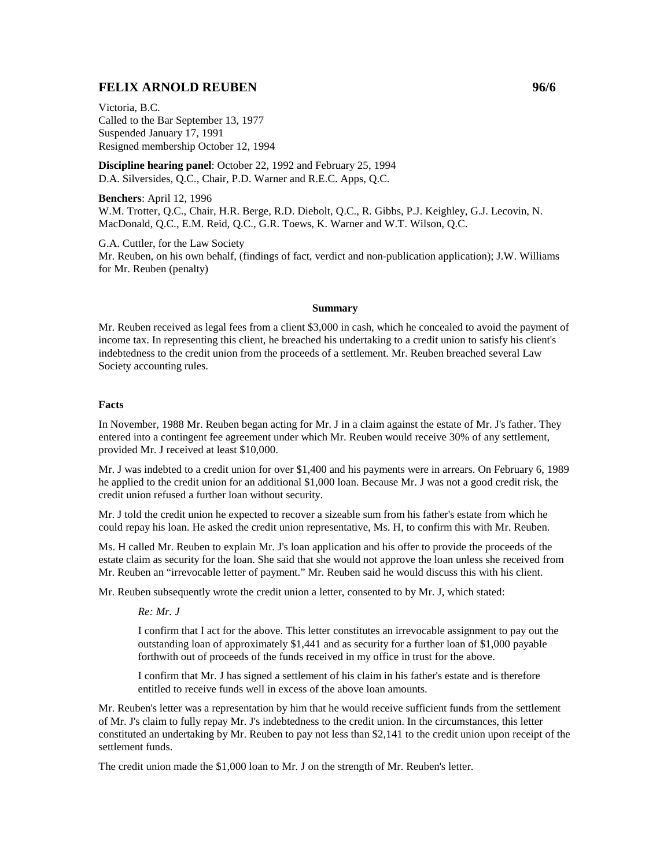# **FELIX ARNOLD REUBEN 96/6**

Victoria, B.C. Called to the Bar September 13, 1977 Suspended January 17, 1991 Resigned membership October 12, 1994

**Discipline hearing panel**: October 22, 1992 and February 25, 1994 D.A. Silversides, Q.C., Chair, P.D. Warner and R.E.C. Apps, Q.C.

**Benchers**: April 12, 1996 W.M. Trotter, Q.C., Chair, H.R. Berge, R.D. Diebolt, Q.C., R. Gibbs, P.J. Keighley, G.J. Lecovin, N. MacDonald, Q.C., E.M. Reid, Q.C., G.R. Toews, K. Warner and W.T. Wilson, Q.C.

G.A. Cuttler, for the Law Society Mr. Reuben, on his own behalf, (findings of fact, verdict and non-publication application); J.W. Williams for Mr. Reuben (penalty)

#### **Summary**

Mr. Reuben received as legal fees from a client \$3,000 in cash, which he concealed to avoid the payment of income tax. In representing this client, he breached his undertaking to a credit union to satisfy his client's indebtedness to the credit union from the proceeds of a settlement. Mr. Reuben breached several Law Society accounting rules.

### **Facts**

In November, 1988 Mr. Reuben began acting for Mr. J in a claim against the estate of Mr. J's father. They entered into a contingent fee agreement under which Mr. Reuben would receive 30% of any settlement, provided Mr. J received at least \$10,000.

Mr. J was indebted to a credit union for over \$1,400 and his payments were in arrears. On February 6, 1989 he applied to the credit union for an additional \$1,000 loan. Because Mr. J was not a good credit risk, the credit union refused a further loan without security.

Mr. J told the credit union he expected to recover a sizeable sum from his father's estate from which he could repay his loan. He asked the credit union representative, Ms. H, to confirm this with Mr. Reuben.

Ms. H called Mr. Reuben to explain Mr. J's loan application and his offer to provide the proceeds of the estate claim as security for the loan. She said that she would not approve the loan unless she received from Mr. Reuben an "irrevocable letter of payment." Mr. Reuben said he would discuss this with his client.

Mr. Reuben subsequently wrote the credit union a letter, consented to by Mr. J, which stated:

*Re: Mr. J*

I confirm that I act for the above. This letter constitutes an irrevocable assignment to pay out the outstanding loan of approximately \$1,441 and as security for a further loan of \$1,000 payable forthwith out of proceeds of the funds received in my office in trust for the above.

I confirm that Mr. J has signed a settlement of his claim in his father's estate and is therefore entitled to receive funds well in excess of the above loan amounts.

Mr. Reuben's letter was a representation by him that he would receive sufficient funds from the settlement of Mr. J's claim to fully repay Mr. J's indebtedness to the credit union. In the circumstances, this letter constituted an undertaking by Mr. Reuben to pay not less than \$2,141 to the credit union upon receipt of the settlement funds.

The credit union made the \$1,000 loan to Mr. J on the strength of Mr. Reuben's letter.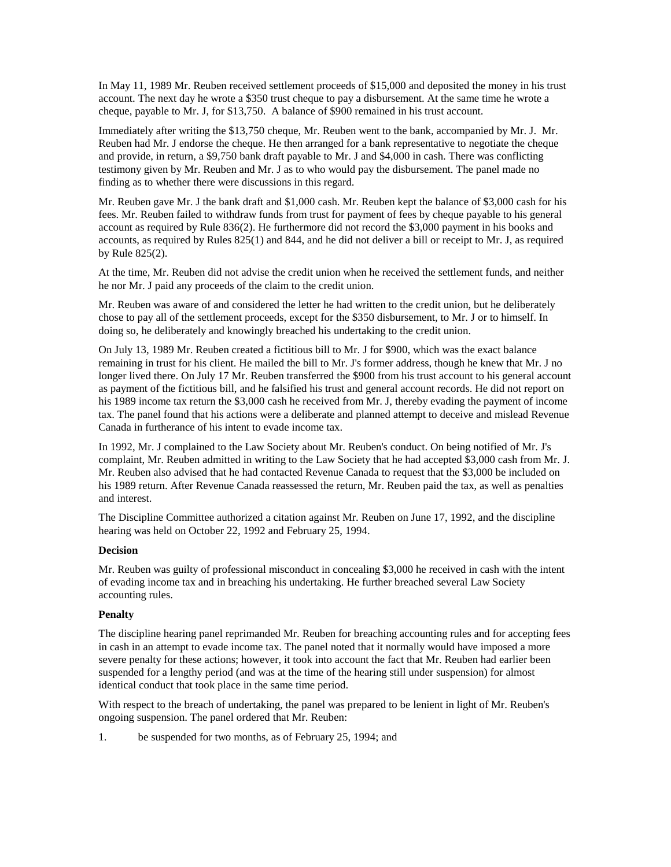In May 11, 1989 Mr. Reuben received settlement proceeds of \$15,000 and deposited the money in his trust account. The next day he wrote a \$350 trust cheque to pay a disbursement. At the same time he wrote a cheque, payable to Mr. J, for \$13,750. A balance of \$900 remained in his trust account.

Immediately after writing the \$13,750 cheque, Mr. Reuben went to the bank, accompanied by Mr. J. Mr. Reuben had Mr. J endorse the cheque. He then arranged for a bank representative to negotiate the cheque and provide, in return, a \$9,750 bank draft payable to Mr. J and \$4,000 in cash. There was conflicting testimony given by Mr. Reuben and Mr. J as to who would pay the disbursement. The panel made no finding as to whether there were discussions in this regard.

Mr. Reuben gave Mr. J the bank draft and \$1,000 cash. Mr. Reuben kept the balance of \$3,000 cash for his fees. Mr. Reuben failed to withdraw funds from trust for payment of fees by cheque payable to his general account as required by Rule 836(2). He furthermore did not record the \$3,000 payment in his books and accounts, as required by Rules 825(1) and 844, and he did not deliver a bill or receipt to Mr. J, as required by Rule 825(2).

At the time, Mr. Reuben did not advise the credit union when he received the settlement funds, and neither he nor Mr. J paid any proceeds of the claim to the credit union.

Mr. Reuben was aware of and considered the letter he had written to the credit union, but he deliberately chose to pay all of the settlement proceeds, except for the \$350 disbursement, to Mr. J or to himself. In doing so, he deliberately and knowingly breached his undertaking to the credit union.

On July 13, 1989 Mr. Reuben created a fictitious bill to Mr. J for \$900, which was the exact balance remaining in trust for his client. He mailed the bill to Mr. J's former address, though he knew that Mr. J no longer lived there. On July 17 Mr. Reuben transferred the \$900 from his trust account to his general account as payment of the fictitious bill, and he falsified his trust and general account records. He did not report on his 1989 income tax return the \$3,000 cash he received from Mr. J, thereby evading the payment of income tax. The panel found that his actions were a deliberate and planned attempt to deceive and mislead Revenue Canada in furtherance of his intent to evade income tax.

In 1992, Mr. J complained to the Law Society about Mr. Reuben's conduct. On being notified of Mr. J's complaint, Mr. Reuben admitted in writing to the Law Society that he had accepted \$3,000 cash from Mr. J. Mr. Reuben also advised that he had contacted Revenue Canada to request that the \$3,000 be included on his 1989 return. After Revenue Canada reassessed the return, Mr. Reuben paid the tax, as well as penalties and interest.

The Discipline Committee authorized a citation against Mr. Reuben on June 17, 1992, and the discipline hearing was held on October 22, 1992 and February 25, 1994.

#### **Decision**

Mr. Reuben was guilty of professional misconduct in concealing \$3,000 he received in cash with the intent of evading income tax and in breaching his undertaking. He further breached several Law Society accounting rules.

## **Penalty**

The discipline hearing panel reprimanded Mr. Reuben for breaching accounting rules and for accepting fees in cash in an attempt to evade income tax. The panel noted that it normally would have imposed a more severe penalty for these actions; however, it took into account the fact that Mr. Reuben had earlier been suspended for a lengthy period (and was at the time of the hearing still under suspension) for almost identical conduct that took place in the same time period.

With respect to the breach of undertaking, the panel was prepared to be lenient in light of Mr. Reuben's ongoing suspension. The panel ordered that Mr. Reuben:

1. be suspended for two months, as of February 25, 1994; and